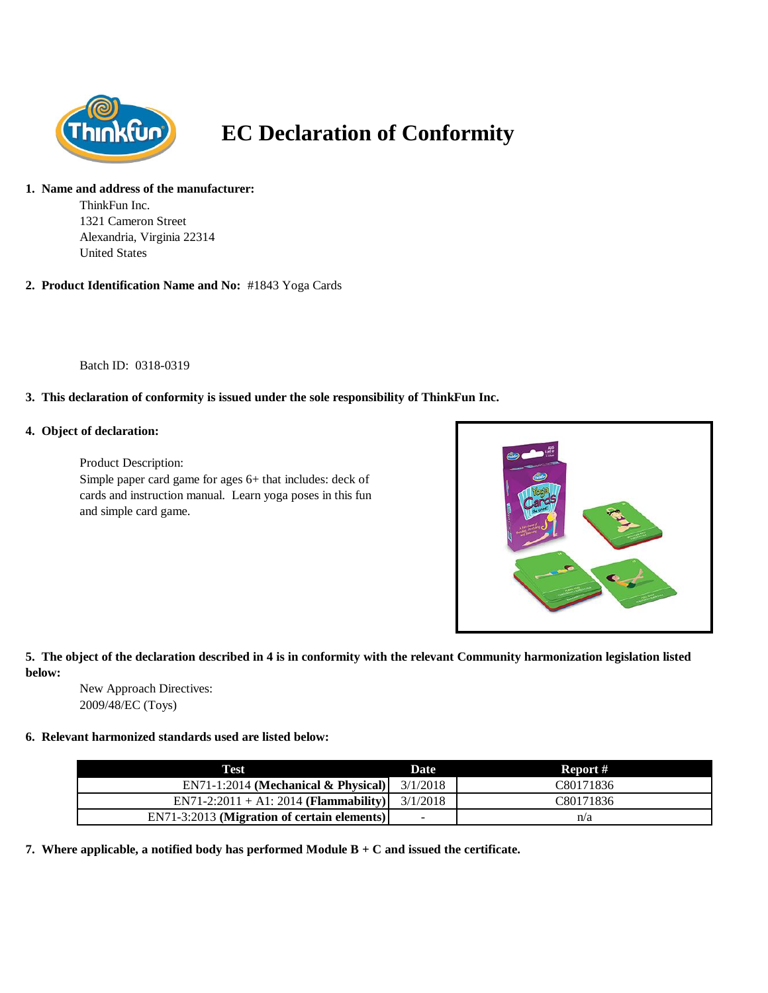

# **EC Declaration of Conformity**

## **1. Name and address of the manufacturer:**

ThinkFun Inc. 1321 Cameron Street Alexandria, Virginia 22314 United States

**2. Product Identification Name and No:** #1843 Yoga Cards

Batch ID: 0318-0319

## **3. This declaration of conformity is issued under the sole responsibility of ThinkFun Inc.**

### **4. Object of declaration:**

Product Description: Simple paper card game for ages 6+ that includes: deck of cards and instruction manual. Learn yoga poses in this fun and simple card game.



### **5. The object of the declaration described in 4 is in conformity with the relevant Community harmonization legislation listed below:**

New Approach Directives: 2009/48/EC (Toys)

#### **6. Relevant harmonized standards used are listed below:**

| Test                                        | Date                     | Report #  |
|---------------------------------------------|--------------------------|-----------|
| $EN71-1:2014$ (Mechanical & Physical)       | 3/1/2018                 | C80171836 |
| $EN71-2:2011 + A1:2014 (Flammaibility)$     | 3/1/2018                 | C80171836 |
| EN71-3:2013 (Migration of certain elements) | $\overline{\phantom{0}}$ | n/a       |

**7. Where applicable, a notified body has performed Module B + C and issued the certificate.**